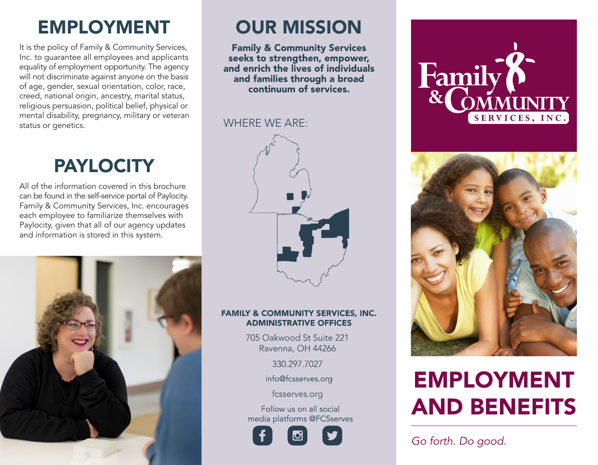## EMPLOYMENT OUR MISSION

It is the policy of Family & Community Services, Inc. to guarantee all employees and applicants equality of employment opportunity. The agency will not discriminate against anyone on the basis of age, gender, sexual orientation, color, race, creed, national origin, ancestry, marital status, religious persuasion, political belief, physical or mental disability, pregnancy, military or veteran status or genetics.

## **PAYLOCITY**

All of the information covered in this brochure can be found in the self-service portal of Paylocity. Family & Community Services, Inc. encourages each employee to familiarize themselves with Paylocity, given that all of our agency updates and information is stored in this system.



3 6 1

**Family & Community Services** seeks to strengthen, empower, and enrich the lives of individuals and families through a broad continuum of services.

#### WHERE WE ARE:



#### **FAMILY & COMMUNITY SERVICES, INC. ADMINISTRATIVE OFFICES**

705 Oakwood St Suite 221 Ravenna, OH 44266

330.297.7027

info@fcsserves.org

fcsserves.org

Follow us on all social media platforms @FCSserves







# **EMPLOYMENT AND BENEFITS**

*Go forth. Do good.*